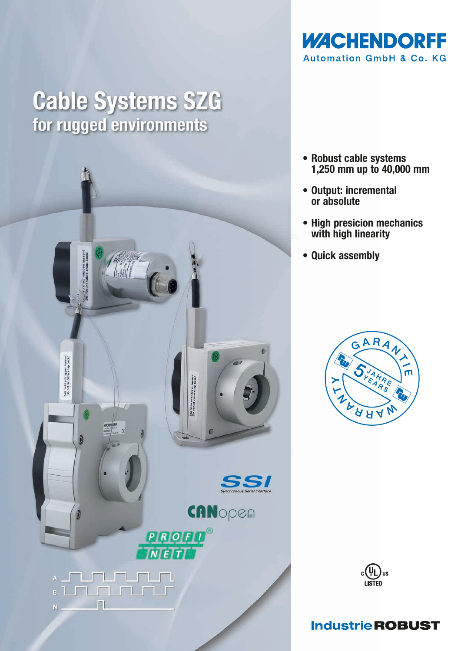

## **Cable Systems SZG** for rugged environments



- Robust cable systems 1,250 mm up to 40,000 mm
- Output: incremental or absolute
- High presicion mechanics with high linearity
- Quick assembly





## **Industrie ROBUST**